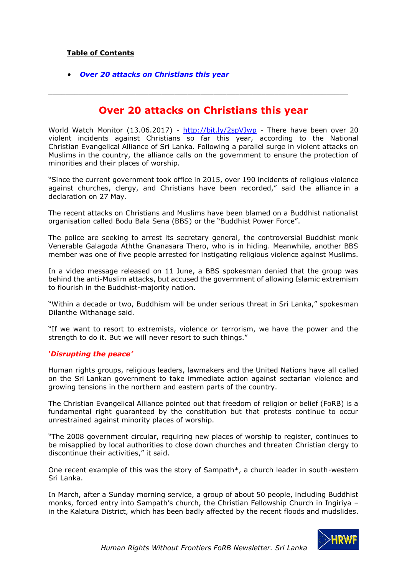## **Table of Contents**

• *[Over 20 attacks on Christians this year](#page-0-0)*

## **Over 20 attacks on Christians this year**

<span id="page-0-0"></span> $\_$  , and the set of the set of the set of the set of the set of the set of the set of the set of the set of the set of the set of the set of the set of the set of the set of the set of the set of the set of the set of th

World Watch Monitor (13.06.2017) - <http://bit.ly/2spVJwp> - There have been over 20 violent incidents against Christians so far this year, according to the National Christian Evangelical Alliance of Sri Lanka. Following a parallel surge in violent attacks on Muslims in the country, the alliance calls on the government to ensure the protection of minorities and their places of worship.

"Since the current government took office in 2015, over 190 incidents of religious violence against churches, clergy, and Christians have been recorded," said the alliance in a declaration on 27 May.

The recent attacks on Christians and Muslims have been blamed on a Buddhist nationalist organisation called Bodu Bala Sena (BBS) or the "Buddhist Power Force".

The police are seeking to arrest its secretary general, the controversial Buddhist monk Venerable Galagoda Aththe Gnanasara Thero, who is in hiding. Meanwhile, another BBS member was one of five people arrested for instigating religious violence against Muslims.

In a video message released on 11 June, a BBS spokesman denied that the group was behind the anti-Muslim attacks, but accused the government of allowing Islamic extremism to flourish in the Buddhist-majority nation.

"Within a decade or two, Buddhism will be under serious threat in Sri Lanka," spokesman Dilanthe Withanage said.

"If we want to resort to extremists, violence or terrorism, we have the power and the strength to do it. But we will never resort to such things."

## *'Disrupting the peace'*

Human rights groups, religious leaders, lawmakers and the United Nations have all called on the Sri Lankan government to take immediate action against sectarian violence and growing tensions in the northern and eastern parts of the country.

The Christian Evangelical Alliance pointed out that freedom of religion or belief (FoRB) is a fundamental right guaranteed by the constitution but that protests continue to occur unrestrained against minority places of worship.

"The 2008 government circular, requiring new places of worship to register, continues to be misapplied by local authorities to close down churches and threaten Christian clergy to discontinue their activities," it said.

One recent example of this was the story of Sampath\*, a church leader in south-western Sri Lanka.

In March, after a Sunday morning service, a group of about 50 people, including Buddhist monks, forced entry into Sampath's church, the Christian Fellowship Church in Ingiriya – in the Kalatura District, which has been badly affected by the recent floods and mudslides.